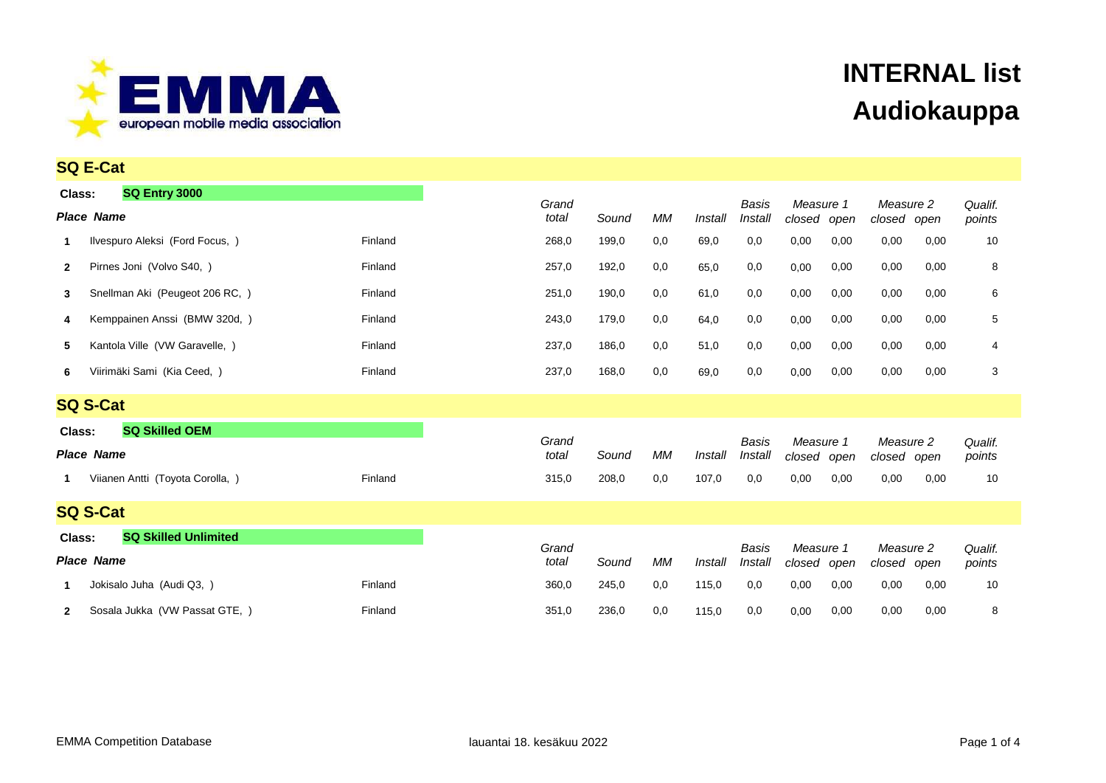

|                   | <b>SQ E-Cat</b>                           |         |                |       |     |         |                  |                             |      |                          |      |                   |
|-------------------|-------------------------------------------|---------|----------------|-------|-----|---------|------------------|-----------------------------|------|--------------------------|------|-------------------|
| Class:            | <b>SQ Entry 3000</b><br><b>Place Name</b> |         | Grand<br>total | Sound | МM  | Install | Basis<br>Install | Measure 1<br>closed         | open | Measure 2<br>closed open |      | Qualif.<br>points |
| 1                 | Ilvespuro Aleksi (Ford Focus, )           | Finland | 268,0          | 199,0 | 0,0 | 69,0    | 0,0              | 0,00                        | 0,00 | 0,00                     | 0,00 | 10                |
| $\mathbf{2}$      | Pirnes Joni (Volvo S40, )                 | Finland | 257,0          | 192,0 | 0,0 | 65,0    | 0,0              | 0,00                        | 0,00 | 0,00                     | 0,00 | 8                 |
| 3                 | Snellman Aki (Peugeot 206 RC, )           | Finland | 251,0          | 190,0 | 0,0 | 61,0    | 0,0              | 0,00                        | 0,00 | 0,00                     | 0,00 | 6                 |
| 4                 | Kemppainen Anssi (BMW 320d, )             | Finland | 243,0          | 179,0 | 0,0 | 64,0    | 0,0              | 0,00                        | 0,00 | 0,00                     | 0,00 | 5                 |
| 5                 | Kantola Ville (VW Garavelle, )            | Finland | 237,0          | 186,0 | 0,0 | 51,0    | 0,0              | 0,00                        | 0,00 | 0,00                     | 0,00 | 4                 |
| 6                 | Viirimäki Sami (Kia Ceed, )               | Finland | 237,0          | 168,0 | 0,0 | 69,0    | 0,0              | 0,00                        | 0,00 | 0,00                     | 0,00 | 3                 |
|                   | <b>SQ S-Cat</b>                           |         |                |       |     |         |                  |                             |      |                          |      |                   |
| Class:            | <b>SQ Skilled OEM</b>                     |         |                |       |     |         |                  |                             |      |                          |      |                   |
| <b>Place Name</b> |                                           |         | Grand<br>total | Sound | МM  | Install | Basis<br>Install | Measure 1<br>closed         | open | Measure 2<br>closed open |      | Qualif.<br>points |
| 1                 | Viianen Antti (Toyota Corolla, )          | Finland | 315,0          | 208,0 | 0,0 | 107,0   | 0,0              | 0,00                        | 0,00 | 0,00                     | 0,00 | 10                |
|                   | <b>SQ S-Cat</b>                           |         |                |       |     |         |                  |                             |      |                          |      |                   |
| Class:            | <b>SQ Skilled Unlimited</b>               |         |                |       |     |         |                  |                             |      |                          |      |                   |
|                   | <b>Place Name</b>                         |         | Grand<br>total | Sound | МM  |         | Basis<br>Install | Measure 1<br>closed<br>open |      | Measure 2<br>closed open |      | Qualif.<br>points |
| 1                 | Jokisalo Juha (Audi Q3, )                 | Finland | 360,0          | 245,0 | 0,0 | 115,0   | 0,0              | 0,00                        | 0,00 | 0,00                     | 0,00 | 10                |
| $\mathbf{2}$      | Sosala Jukka (VW Passat GTE, )            | Finland | 351,0          | 236,0 | 0,0 | 115,0   | 0,0              | 0,00                        | 0,00 | 0,00                     | 0,00 | 8                 |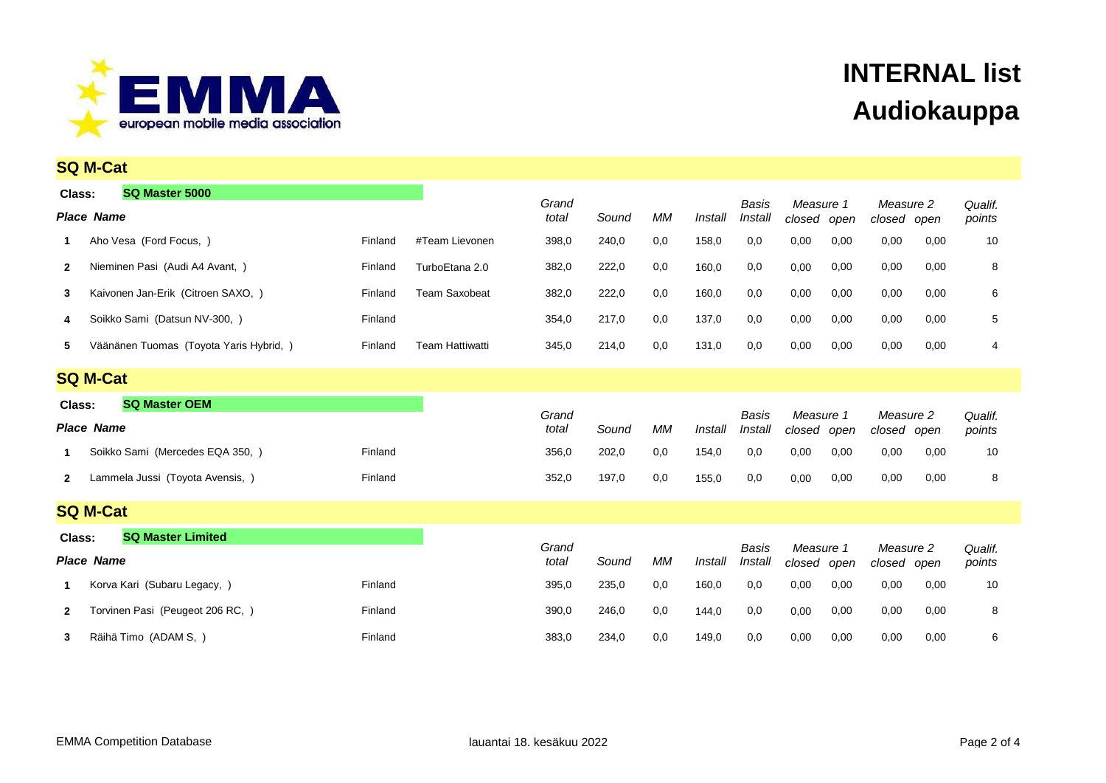

|                                | <b>SQ M-Cat</b>                         |         |                        |                |       |         |         |                  |                     |             |                          |         |                   |
|--------------------------------|-----------------------------------------|---------|------------------------|----------------|-------|---------|---------|------------------|---------------------|-------------|--------------------------|---------|-------------------|
| Class:                         | SQ Master 5000                          |         |                        | Grand          |       |         |         | Basis            | Measure 1           |             | Measure 2                |         | Qualif.           |
| <b>Place Name</b>              |                                         |         | total                  | Sound          | МM    | Install | Install | closed           | open                | closed open |                          | points  |                   |
|                                | Aho Vesa (Ford Focus, )                 | Finland | #Team Lievonen         | 398,0          | 240,0 | 0,0     | 158,0   | 0,0              | 0,00                | 0,00        | 0,00                     | 0,00    | 10                |
| $\mathbf{2}$                   | Nieminen Pasi (Audi A4 Avant, )         | Finland | TurboEtana 2.0         | 382,0          | 222,0 | 0,0     | 160,0   | 0,0              | 0,00                | 0,00        | 0,00                     | 0,00    | 8                 |
| 3                              | Kaivonen Jan-Erik (Citroen SAXO, )      | Finland | <b>Team Saxobeat</b>   | 382,0          | 222,0 | 0,0     | 160,0   | 0,0              | 0,00                | 0,00        | 0,00                     | 0,00    | 6                 |
| 4                              | Soikko Sami (Datsun NV-300, )           | Finland |                        | 354,0          | 217,0 | 0,0     | 137,0   | 0,0              | 0,00                | 0,00        | 0,00                     | 0,00    | 5                 |
| 5                              | Väänänen Tuomas (Toyota Yaris Hybrid, ) | Finland | <b>Team Hattiwatti</b> | 345,0          | 214,0 | 0,0     | 131,0   | 0,0              | 0,00                | 0,00        | 0,00                     | 0,00    | 4                 |
|                                | <b>SQ M-Cat</b>                         |         |                        |                |       |         |         |                  |                     |             |                          |         |                   |
| <b>SQ Master OEM</b><br>Class: |                                         |         | Grand                  |                |       |         | Basis   | Measure 1        |                     | Measure 2   |                          | Qualif. |                   |
|                                |                                         |         |                        |                |       | МM      |         |                  |                     |             |                          |         |                   |
|                                | <b>Place Name</b>                       |         |                        | total          | Sound |         | Install | Install          | closed              | open        | closed open              |         | points            |
| 1                              | Soikko Sami (Mercedes EQA 350, )        | Finland |                        | 356,0          | 202,0 | 0,0     | 154,0   | 0,0              | 0,00                | 0,00        | 0,00                     | 0,00    | 10                |
| $\mathbf{2}$                   | Lammela Jussi (Toyota Avensis, )        | Finland |                        | 352,0          | 197,0 | 0,0     | 155,0   | 0,0              | 0,00                | 0,00        | 0,00                     | 0,00    | 8                 |
|                                | <b>SQ M-Cat</b>                         |         |                        |                |       |         |         |                  |                     |             |                          |         |                   |
| Class:                         | <b>SQ Master Limited</b>                |         |                        |                |       |         |         |                  |                     |             |                          |         |                   |
|                                | <b>Place Name</b>                       |         |                        | Grand<br>total | Sound | МM      | Install | Basis<br>Install | Measure 1<br>closed | open        | Measure 2<br>closed open |         | Qualif.<br>points |
| 1.                             | Korva Kari (Subaru Legacy, )            | Finland |                        | 395,0          | 235,0 | 0,0     | 160,0   | 0,0              | 0,00                | 0,00        | 0,00                     | 0,00    | 10                |
| $\mathbf{2}$                   | Torvinen Pasi (Peugeot 206 RC, )        | Finland |                        | 390,0          | 246,0 | 0,0     | 144,0   | 0,0              | 0,00                | 0,00        | 0,00                     | 0,00    | 8                 |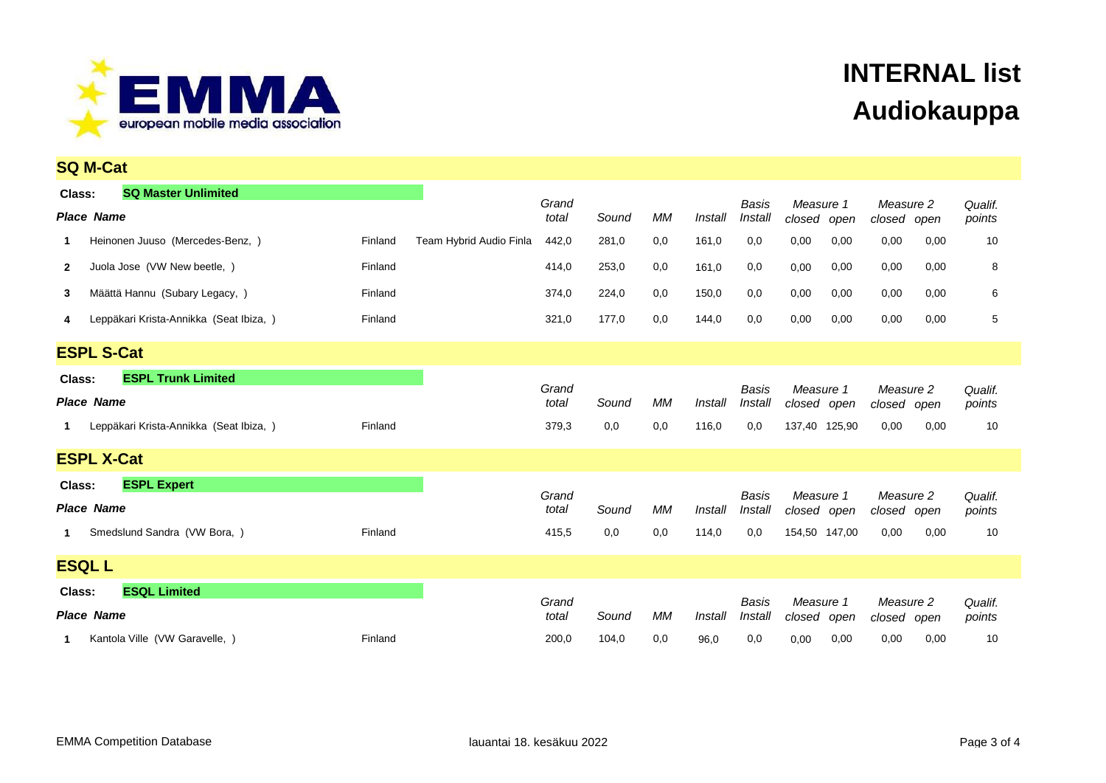

| <b>SQ M-Cat</b>                               |         |                         |                |       |           |         |                  |                          |      |                          |      |                   |
|-----------------------------------------------|---------|-------------------------|----------------|-------|-----------|---------|------------------|--------------------------|------|--------------------------|------|-------------------|
| <b>SQ Master Unlimited</b><br>Class:          |         |                         |                |       |           |         |                  |                          |      |                          |      |                   |
| <b>Place Name</b>                             |         |                         | Grand<br>total | Sound | <b>MM</b> | Install | Basis<br>Install | Measure 1<br>closed open |      | Measure 2<br>closed open |      | Qualif.<br>points |
| Heinonen Juuso (Mercedes-Benz, )              | Finland | Team Hybrid Audio Finla | 442,0          | 281,0 | 0,0       | 161,0   | 0,0              | 0,00                     | 0,00 | 0,00                     | 0,00 | 10                |
| Juola Jose (VW New beetle, )<br>$\mathbf{2}$  | Finland |                         | 414,0          | 253,0 | 0,0       | 161,0   | 0,0              | 0,00                     | 0,00 | 0,00                     | 0,00 | 8                 |
| Määttä Hannu (Subary Legacy, )<br>3           | Finland |                         | 374,0          | 224,0 | 0,0       | 150,0   | 0,0              | 0,00                     | 0,00 | 0,00                     | 0,00 | 6                 |
| Leppäkari Krista-Annikka (Seat Ibiza, )<br>4  | Finland |                         | 321,0          | 177,0 | 0,0       | 144,0   | 0,0              | 0,00                     | 0,00 | 0,00                     | 0,00 | 5                 |
| <b>ESPL S-Cat</b>                             |         |                         |                |       |           |         |                  |                          |      |                          |      |                   |
| <b>ESPL Trunk Limited</b><br>Class:           |         |                         | Grand          |       |           |         | <b>Basis</b>     | Measure 1                |      | Measure 2                |      |                   |
| <b>Place Name</b>                             |         |                         | total          | Sound | МM        | Install | Install          | closed open              |      | closed open              |      | Qualif.<br>points |
| Leppäkari Krista-Annikka (Seat Ibiza, )<br>1. | Finland |                         | 379,3          | 0,0   | 0,0       | 116,0   | 0,0              | 137.40 125,90            |      | 0,00                     | 0,00 | 10                |
| <b>ESPL X-Cat</b>                             |         |                         |                |       |           |         |                  |                          |      |                          |      |                   |
| <b>ESPL Expert</b><br>Class:                  |         |                         |                |       |           |         |                  |                          |      |                          |      |                   |
| <b>Place Name</b>                             |         |                         | Grand<br>total | Sound | <b>MM</b> | Install | Basis<br>Install | Measure 1<br>closed open |      | Measure 2<br>closed open |      | Qualif.<br>points |
| Smedslund Sandra (VW Bora, )<br>1             | Finland |                         | 415,5          | 0,0   | 0,0       | 114,0   | 0,0              | 154,50 147,00            |      | 0,00                     | 0,00 | 10                |
| <b>ESQL L</b>                                 |         |                         |                |       |           |         |                  |                          |      |                          |      |                   |
| <b>ESQL Limited</b><br>Class:                 |         |                         | Grand          |       |           |         | <b>Basis</b>     | Measure 1                |      | Measure 2                |      |                   |
| <b>Place Name</b>                             |         |                         | total          | Sound | <b>MM</b> | Install | Install          | closed                   | open | closed open              |      | Qualif.<br>points |
| Kantola Ville (VW Garavelle,<br>1.            | Finland |                         | 200,0          | 104,0 | 0,0       | 96,0    | 0,0              | 0,00                     | 0,00 | 0,00                     | 0,00 | 10                |